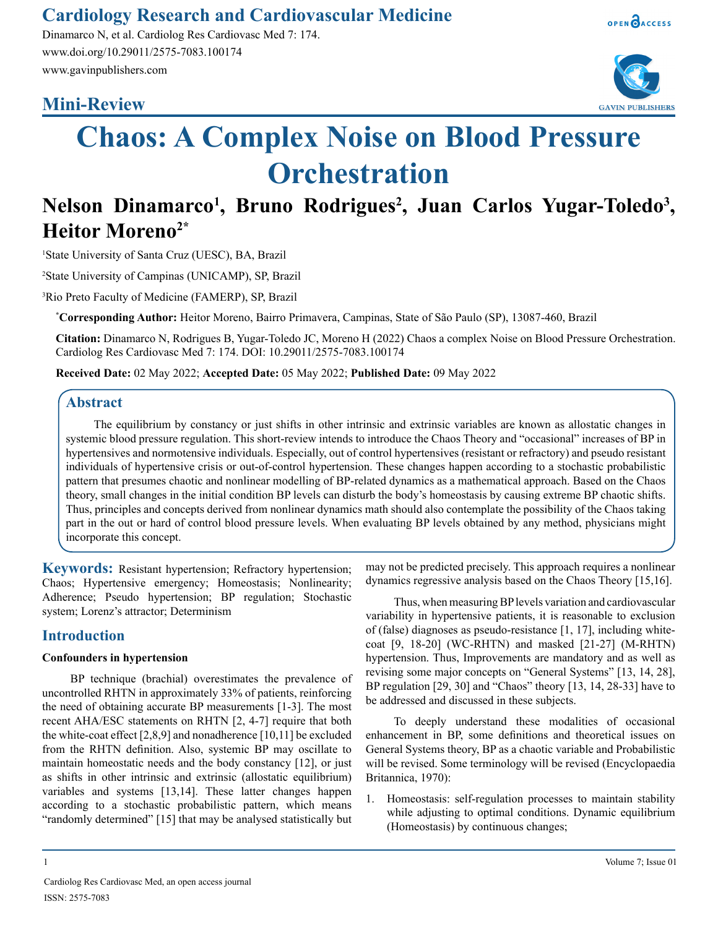# **Cardiology Research and Cardiovascular Medicine**

Dinamarco N, et al. Cardiolog Res Cardiovasc Med 7: 174. www.doi.org/10.29011/2575-7083.100174 www.gavinpublishers.com

# **Mini-Review**





# **Chaos: A Complex Noise on Blood Pressure Orchestration**

# Nelson Dinamarco<sup>1</sup>, Bruno Rodrigues<sup>2</sup>, Juan Carlos Yugar-Toledo<sup>3</sup>, **Heitor Moreno2\***

1 State University of Santa Cruz (UESC), BA, Brazil

2 State University of Campinas (UNICAMP), SP, Brazil

3 Rio Preto Faculty of Medicine (FAMERP), SP, Brazil

**\* Corresponding Author:** Heitor Moreno, Bairro Primavera, Campinas, State of São Paulo (SP), 13087-460, Brazil

**Citation:** Dinamarco N, Rodrigues B, Yugar-Toledo JC, Moreno H (2022) Chaos a complex Noise on Blood Pressure Orchestration. Cardiolog Res Cardiovasc Med 7: 174. DOI: 10.29011/2575-7083.100174

**Received Date:** 02 May 2022; **Accepted Date:** 05 May 2022; **Published Date:** 09 May 2022

# **Abstract**

The equilibrium by constancy or just shifts in other intrinsic and extrinsic variables are known as allostatic changes in systemic blood pressure regulation. This short-review intends to introduce the Chaos Theory and "occasional" increases of BP in hypertensives and normotensive individuals. Especially, out of control hypertensives (resistant or refractory) and pseudo resistant individuals of hypertensive crisis or out-of-control hypertension. These changes happen according to a stochastic probabilistic pattern that presumes chaotic and nonlinear modelling of BP-related dynamics as a mathematical approach. Based on the Chaos theory, small changes in the initial condition BP levels can disturb the body's homeostasis by causing extreme BP chaotic shifts. Thus, principles and concepts derived from nonlinear dynamics math should also contemplate the possibility of the Chaos taking part in the out or hard of control blood pressure levels. When evaluating BP levels obtained by any method, physicians might incorporate this concept.

**Keywords:** Resistant hypertension; Refractory hypertension; Chaos; Hypertensive emergency; Homeostasis; Nonlinearity; Adherence; Pseudo hypertension; BP regulation; Stochastic system; Lorenz's attractor; Determinism

# **Introduction**

#### **Confounders in hypertension**

BP technique (brachial) overestimates the prevalence of uncontrolled RHTN in approximately 33% of patients, reinforcing the need of obtaining accurate BP measurements [1-3]. The most recent AHA/ESC statements on RHTN [2, 4-7] require that both the white-coat effect [2,8,9] and nonadherence [10,11] be excluded from the RHTN definition. Also, systemic BP may oscillate to maintain homeostatic needs and the body constancy [12], or just as shifts in other intrinsic and extrinsic (allostatic equilibrium) variables and systems [13,14]. These latter changes happen according to a stochastic probabilistic pattern, which means "randomly determined" [15] that may be analysed statistically but

may not be predicted precisely. This approach requires a nonlinear dynamics regressive analysis based on the Chaos Theory [15,16].

Thus, when measuring BP levels variation and cardiovascular variability in hypertensive patients, it is reasonable to exclusion of (false) diagnoses as pseudo-resistance [1, 17], including whitecoat [9, 18-20] (WC-RHTN) and masked [21-27] (M-RHTN) hypertension. Thus, Improvements are mandatory and as well as revising some major concepts on "General Systems" [13, 14, 28], BP regulation [29, 30] and "Chaos" theory [13, 14, 28-33] have to be addressed and discussed in these subjects.

To deeply understand these modalities of occasional enhancement in BP, some definitions and theoretical issues on General Systems theory, BP as a chaotic variable and Probabilistic will be revised. Some terminology will be revised (Encyclopaedia Britannica, 1970):

1. Homeostasis: self-regulation processes to maintain stability while adjusting to optimal conditions. Dynamic equilibrium (Homeostasis) by continuous changes;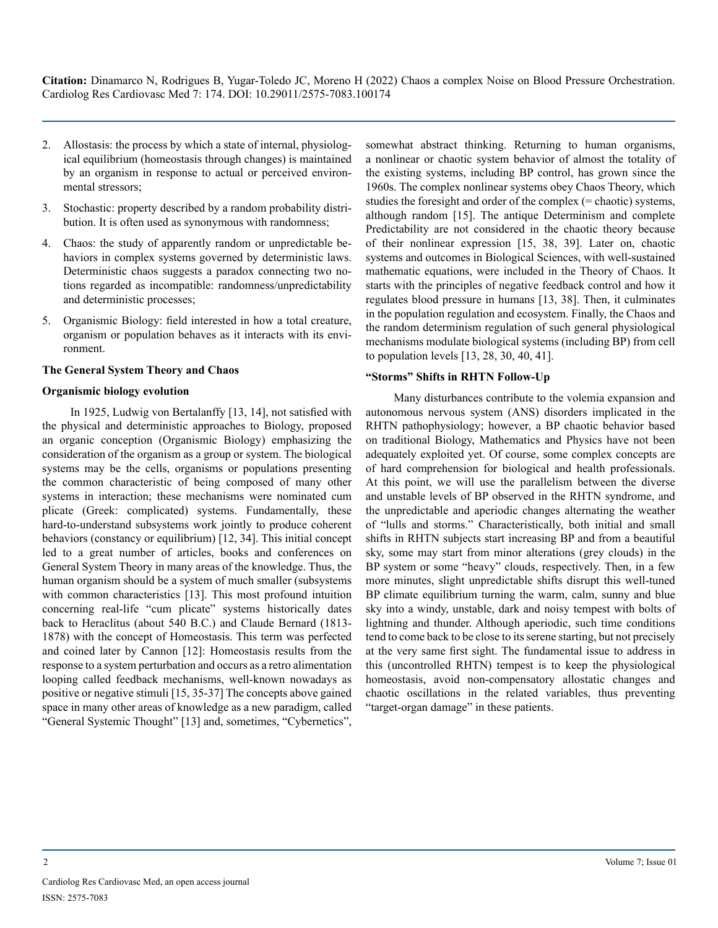- 2. Allostasis: the process by which a state of internal, physiological equilibrium (homeostasis through changes) is maintained by an organism in response to actual or perceived environmental stressors;
- 3. Stochastic: property described by a random probability distribution. It is often used as synonymous with randomness;
- 4. Chaos: the study of apparently random or unpredictable behaviors in complex systems governed by deterministic laws. Deterministic chaos suggests a paradox connecting two notions regarded as incompatible: randomness/unpredictability and deterministic processes;
- 5. Organismic Biology: field interested in how a total creature, organism or population behaves as it interacts with its environment.

#### **The General System Theory and Chaos**

#### **Organismic biology evolution**

In 1925, Ludwig von Bertalanffy [13, 14], not satisfied with the physical and deterministic approaches to Biology, proposed an organic conception (Organismic Biology) emphasizing the consideration of the organism as a group or system. The biological systems may be the cells, organisms or populations presenting the common characteristic of being composed of many other systems in interaction; these mechanisms were nominated cum plicate (Greek: complicated) systems. Fundamentally, these hard-to-understand subsystems work jointly to produce coherent behaviors (constancy or equilibrium) [12, 34]. This initial concept led to a great number of articles, books and conferences on General System Theory in many areas of the knowledge. Thus, the human organism should be a system of much smaller (subsystems with common characteristics [13]. This most profound intuition concerning real-life "cum plicate" systems historically dates back to Heraclitus (about 540 B.C.) and Claude Bernard (1813- 1878) with the concept of Homeostasis. This term was perfected and coined later by Cannon [12]: Homeostasis results from the response to a system perturbation and occurs as a retro alimentation looping called feedback mechanisms, well-known nowadays as positive or negative stimuli [15, 35-37] The concepts above gained space in many other areas of knowledge as a new paradigm, called "General Systemic Thought" [13] and, sometimes, "Cybernetics",

somewhat abstract thinking. Returning to human organisms, a nonlinear or chaotic system behavior of almost the totality of the existing systems, including BP control, has grown since the 1960s. The complex nonlinear systems obey Chaos Theory, which studies the foresight and order of the complex (= chaotic) systems, although random [15]. The antique Determinism and complete Predictability are not considered in the chaotic theory because of their nonlinear expression [15, 38, 39]. Later on, chaotic systems and outcomes in Biological Sciences, with well-sustained mathematic equations, were included in the Theory of Chaos. It starts with the principles of negative feedback control and how it regulates blood pressure in humans [13, 38]. Then, it culminates in the population regulation and ecosystem. Finally, the Chaos and the random determinism regulation of such general physiological mechanisms modulate biological systems (including BP) from cell to population levels [13, 28, 30, 40, 41].

#### **"Storms" Shifts in RHTN Follow-Up**

Many disturbances contribute to the volemia expansion and autonomous nervous system (ANS) disorders implicated in the RHTN pathophysiology; however, a BP chaotic behavior based on traditional Biology, Mathematics and Physics have not been adequately exploited yet. Of course, some complex concepts are of hard comprehension for biological and health professionals. At this point, we will use the parallelism between the diverse and unstable levels of BP observed in the RHTN syndrome, and the unpredictable and aperiodic changes alternating the weather of "lulls and storms." Characteristically, both initial and small shifts in RHTN subjects start increasing BP and from a beautiful sky, some may start from minor alterations (grey clouds) in the BP system or some "heavy" clouds, respectively. Then, in a few more minutes, slight unpredictable shifts disrupt this well-tuned BP climate equilibrium turning the warm, calm, sunny and blue sky into a windy, unstable, dark and noisy tempest with bolts of lightning and thunder. Although aperiodic, such time conditions tend to come back to be close to its serene starting, but not precisely at the very same first sight. The fundamental issue to address in this (uncontrolled RHTN) tempest is to keep the physiological homeostasis, avoid non-compensatory allostatic changes and chaotic oscillations in the related variables, thus preventing "target-organ damage" in these patients.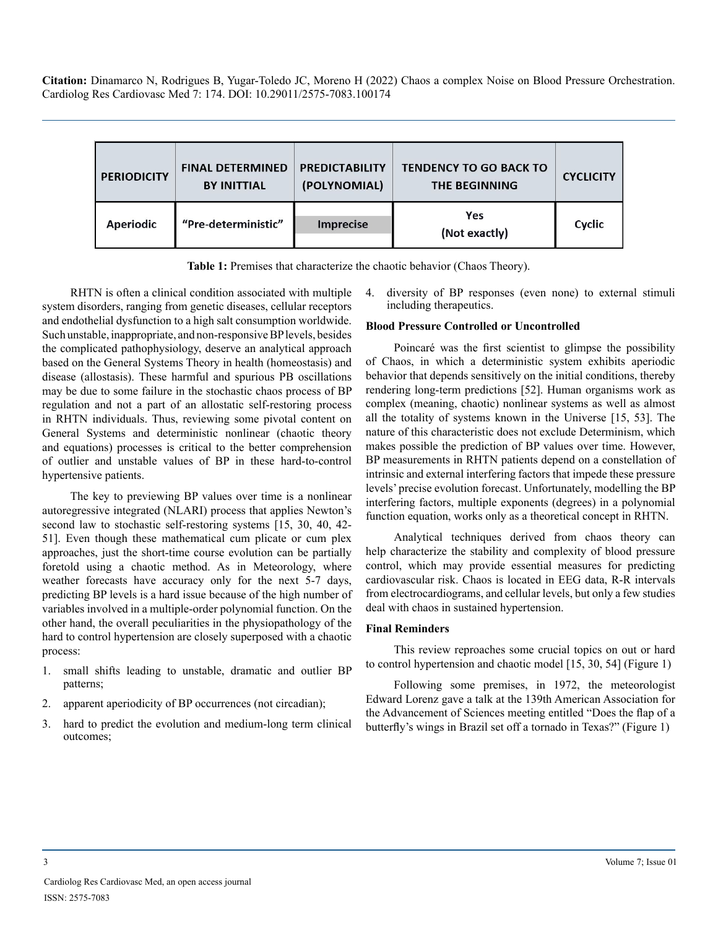| <b>PERIODICITY</b> | <b>FINAL DETERMINED</b><br><b>BY INITTIAL</b> | <b>PREDICTABILITY</b><br>(POLYNOMIAL) | <b>TENDENCY TO GO BACK TO</b><br><b>THE BEGINNING</b> | <b>CYCLICITY</b> |
|--------------------|-----------------------------------------------|---------------------------------------|-------------------------------------------------------|------------------|
| <b>Aperiodic</b>   | "Pre-deterministic"                           | <b>Imprecise</b>                      | Yes<br>(Not exactly)                                  | Cyclic           |

**Table 1:** Premises that characterize the chaotic behavior (Chaos Theory).

RHTN is often a clinical condition associated with multiple system disorders, ranging from genetic diseases, cellular receptors and endothelial dysfunction to a high salt consumption worldwide. Such unstable, inappropriate, and non-responsive BP levels, besides the complicated pathophysiology, deserve an analytical approach based on the General Systems Theory in health (homeostasis) and disease (allostasis). These harmful and spurious PB oscillations may be due to some failure in the stochastic chaos process of BP regulation and not a part of an allostatic self-restoring process in RHTN individuals. Thus, reviewing some pivotal content on General Systems and deterministic nonlinear (chaotic theory and equations) processes is critical to the better comprehension of outlier and unstable values of BP in these hard-to-control hypertensive patients.

The key to previewing BP values over time is a nonlinear autoregressive integrated (NLARI) process that applies Newton's second law to stochastic self-restoring systems [15, 30, 40, 42- 51]. Even though these mathematical cum plicate or cum plex approaches, just the short-time course evolution can be partially foretold using a chaotic method. As in Meteorology, where weather forecasts have accuracy only for the next 5-7 days, predicting BP levels is a hard issue because of the high number of variables involved in a multiple-order polynomial function. On the other hand, the overall peculiarities in the physiopathology of the hard to control hypertension are closely superposed with a chaotic process:

- 1. small shifts leading to unstable, dramatic and outlier BP patterns;
- 2. apparent aperiodicity of BP occurrences (not circadian);
- 3. hard to predict the evolution and medium-long term clinical outcomes;

4. diversity of BP responses (even none) to external stimuli including therapeutics.

### **Blood Pressure Controlled or Uncontrolled**

Poincaré was the first scientist to glimpse the possibility of Chaos, in which a deterministic system exhibits aperiodic behavior that depends sensitively on the initial conditions, thereby rendering long-term predictions [52]. Human organisms work as complex (meaning, chaotic) nonlinear systems as well as almost all the totality of systems known in the Universe [15, 53]. The nature of this characteristic does not exclude Determinism, which makes possible the prediction of BP values over time. However, BP measurements in RHTN patients depend on a constellation of intrinsic and external interfering factors that impede these pressure levels' precise evolution forecast. Unfortunately, modelling the BP interfering factors, multiple exponents (degrees) in a polynomial function equation, works only as a theoretical concept in RHTN.

Analytical techniques derived from chaos theory can help characterize the stability and complexity of blood pressure control, which may provide essential measures for predicting cardiovascular risk. Chaos is located in EEG data, R-R intervals from electrocardiograms, and cellular levels, but only a few studies deal with chaos in sustained hypertension.

#### **Final Reminders**

This review reproaches some crucial topics on out or hard to control hypertension and chaotic model [15, 30, 54] (Figure 1)

Following some premises, in 1972, the meteorologist Edward Lorenz gave a talk at the 139th American Association for the Advancement of Sciences meeting entitled "Does the flap of a butterfly's wings in Brazil set off a tornado in Texas?" (Figure 1)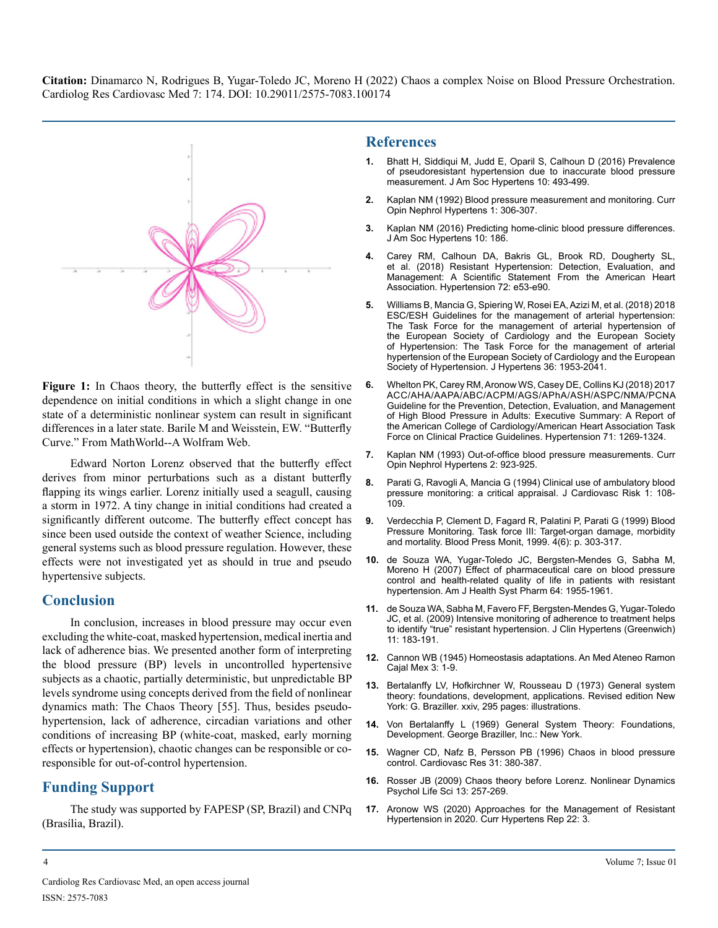

**Figure 1:** In Chaos theory, the butterfly effect is the sensitive dependence on initial conditions in which a slight change in one state of a deterministic nonlinear system can result in significant differences in a later state. Barile M and Weisstein, EW. "Butterfly Curve." From MathWorld--A Wolfram Web.

Edward Norton Lorenz observed that the butterfly effect derives from minor perturbations such as a distant butterfly flapping its wings earlier. Lorenz initially used a seagull, causing a storm in 1972. A tiny change in initial conditions had created a significantly different outcome. The butterfly effect concept has since been used outside the context of weather Science, including general systems such as blood pressure regulation. However, these effects were not investigated yet as should in true and pseudo hypertensive subjects.

## **Conclusion**

In conclusion, increases in blood pressure may occur even excluding the white-coat, masked hypertension, medical inertia and lack of adherence bias. We presented another form of interpreting the blood pressure (BP) levels in uncontrolled hypertensive subjects as a chaotic, partially deterministic, but unpredictable BP levels syndrome using concepts derived from the field of nonlinear dynamics math: The Chaos Theory [55]. Thus, besides pseudohypertension, lack of adherence, circadian variations and other conditions of increasing BP (white-coat, masked, early morning effects or hypertension), chaotic changes can be responsible or coresponsible for out-of-control hypertension.

# **Funding Support**

The study was supported by FAPESP (SP, Brazil) and CNPq (Brasília, Brazil).

## **References**

- **1.** [Bhatt H, Siddiqui M, Judd E, Oparil S, Calhoun D \(2016\) Prevalence](https://pubmed.ncbi.nlm.nih.gov/27129931/)  [of pseudoresistant hypertension due to inaccurate blood pressure](https://pubmed.ncbi.nlm.nih.gov/27129931/)  [measurement. J Am Soc Hypertens 10: 493-499.](https://pubmed.ncbi.nlm.nih.gov/27129931/)
- **2.** [Kaplan NM \(1992\) Blood pressure measurement and monitoring. Curr](https://pubmed.ncbi.nlm.nih.gov/1345631/)  [Opin Nephrol Hypertens 1: 306-307.](https://pubmed.ncbi.nlm.nih.gov/1345631/)
- **3.** [Kaplan NM \(2016\) Predicting home-clinic blood pressure differences.](https://pubmed.ncbi.nlm.nih.gov/27408944/)  [J Am Soc Hypertens 10: 186.](https://pubmed.ncbi.nlm.nih.gov/27408944/)
- **4.** [Carey RM, Calhoun DA, Bakris GL, Brook RD, Dougherty SL,](https://pubmed.ncbi.nlm.nih.gov/30354828/) [et al. \(2018\) Resistant Hypertension: Detection, Evaluation, and](https://pubmed.ncbi.nlm.nih.gov/30354828/)  [Management: A Scientific Statement From the American Heart](https://pubmed.ncbi.nlm.nih.gov/30354828/)  [Association. Hypertension 72: e53-e90.](https://pubmed.ncbi.nlm.nih.gov/30354828/)
- **5.** [Williams B, Mancia G, Spiering W, Rosei EA, Azizi M, et al. \(2018\) 2018](https://pubmed.ncbi.nlm.nih.gov/30234752/)  [ESC/ESH Guidelines for the management of arterial hypertension:](https://pubmed.ncbi.nlm.nih.gov/30234752/)  [The Task Force for the management of arterial hypertension of](https://pubmed.ncbi.nlm.nih.gov/30234752/)  [the European Society of Cardiology and the European Society](https://pubmed.ncbi.nlm.nih.gov/30234752/)  of Hypertension: The Task Force for the management of arterial [hypertension of the European Society of Cardiology and the European](https://pubmed.ncbi.nlm.nih.gov/30234752/)  [Society of Hypertension. J Hypertens 36: 1953-2041.](https://pubmed.ncbi.nlm.nih.gov/30234752/)
- **6.** [Whelton PK, Carey RM, Aronow WS, Casey DE, Collins KJ \(2018\) 2017](https://pubmed.ncbi.nlm.nih.gov/29133354/)  [ACC/AHA/AAPA/ABC/ACPM/AGS/APhA/ASH/ASPC/NMA/PCNA](https://pubmed.ncbi.nlm.nih.gov/29133354/) [Guideline for the Prevention, Detection, Evaluation, and Management](https://pubmed.ncbi.nlm.nih.gov/29133354/)  [of High Blood Pressure in Adults: Executive Summary: A Report of](https://pubmed.ncbi.nlm.nih.gov/29133354/) [the American College of Cardiology/American Heart Association Task](https://pubmed.ncbi.nlm.nih.gov/29133354/)  [Force on Clinical Practice Guidelines. Hypertension 71: 1269-1324.](https://pubmed.ncbi.nlm.nih.gov/29133354/)
- **7.** [Kaplan NM \(1993\) Out-of-office blood pressure measurements. Curr](https://pubmed.ncbi.nlm.nih.gov/7922233/)  [Opin Nephrol Hypertens 2: 923-925.](https://pubmed.ncbi.nlm.nih.gov/7922233/)
- **8.** [Parati G, Ravogli A, Mancia G \(1994\) Clinical use of ambulatory blood](https://pubmed.ncbi.nlm.nih.gov/7606621/)  [pressure monitoring: a critical appraisal. J Cardiovasc Risk 1: 108-](https://pubmed.ncbi.nlm.nih.gov/7606621/) [109.](https://pubmed.ncbi.nlm.nih.gov/7606621/)
- **9.** [Verdecchia P, Clement D, Fagard R, Palatini P, Parati G \(1999\) Blood](https://pubmed.ncbi.nlm.nih.gov/10602535/)  [Pressure Monitoring. Task force III: Target-organ damage, morbidity](https://pubmed.ncbi.nlm.nih.gov/10602535/)  [and mortality. Blood Press Monit, 1999. 4\(6\): p. 303-317.](https://pubmed.ncbi.nlm.nih.gov/10602535/)
- **10.** [de Souza WA, Yugar-Toledo JC, Bergsten-Mendes G, Sabha M,](https://pubmed.ncbi.nlm.nih.gov/17823108/)  [Moreno H \(2007\) Effect of pharmaceutical care on blood pressure](https://pubmed.ncbi.nlm.nih.gov/17823108/)  [control and health-related quality of life in patients with resistant](https://pubmed.ncbi.nlm.nih.gov/17823108/) [hypertension. Am J Health Syst Pharm 64: 1955-1961.](https://pubmed.ncbi.nlm.nih.gov/17823108/)
- **11.** [de Souza WA, Sabha M, Favero FF, Bergsten-Mendes G, Yugar-Toledo](https://pubmed.ncbi.nlm.nih.gov/19614802/)  [JC, et al. \(2009\) Intensive monitoring of adherence to treatment helps](https://pubmed.ncbi.nlm.nih.gov/19614802/)  [to identify "true" resistant hypertension. J Clin Hypertens \(Greenwich\)](https://pubmed.ncbi.nlm.nih.gov/19614802/)  [11: 183-191.](https://pubmed.ncbi.nlm.nih.gov/19614802/)
- **12.** [Cannon WB \(1945\) Homeostasis adaptations. An Med Ateneo Ramon](https://pubmed.ncbi.nlm.nih.gov/20982179/)  [Cajal Mex 3: 1-9.](https://pubmed.ncbi.nlm.nih.gov/20982179/)
- **13.** [Bertalanffy LV, Hofkirchner W, Rousseau D \(1973\) General system](https://www.worldcat.org/title/general-system-theory-foundations-development-applications/oclc/1465)  [theory: foundations, development, applications. Revised edition New](https://www.worldcat.org/title/general-system-theory-foundations-development-applications/oclc/1465)  [York: G. Braziller. xxiv, 295 pages: illustrations.](https://www.worldcat.org/title/general-system-theory-foundations-development-applications/oclc/1465)
- **14.** [Von Bertalanffy L \(1969\) General System Theory: Foundations,](https://monoskop.org/images/7/77/Von_Bertalanffy_Ludwig_General_System_Theory_1968.pdf)  [Development. George Braziller, Inc.: New York.](https://monoskop.org/images/7/77/Von_Bertalanffy_Ludwig_General_System_Theory_1968.pdf)
- **15.** [Wagner CD, Nafz B, Persson PB \(1996\) Chaos in blood pressure](https://pubmed.ncbi.nlm.nih.gov/8681325/) [control. Cardiovasc Res 31: 380-387.](https://pubmed.ncbi.nlm.nih.gov/8681325/)
- **16.** [Rosser JB \(2009\) Chaos theory before Lorenz. Nonlinear Dynamics](https://pubmed.ncbi.nlm.nih.gov/19527617/)  [Psychol Life Sci 13: 257-269.](https://pubmed.ncbi.nlm.nih.gov/19527617/)
- **17.** [Aronow WS \(2020\) Approaches for the Management of Resistant](https://pubmed.ncbi.nlm.nih.gov/31916065/)  [Hypertension in 2020. Curr Hypertens Rep 22: 3.](https://pubmed.ncbi.nlm.nih.gov/31916065/)